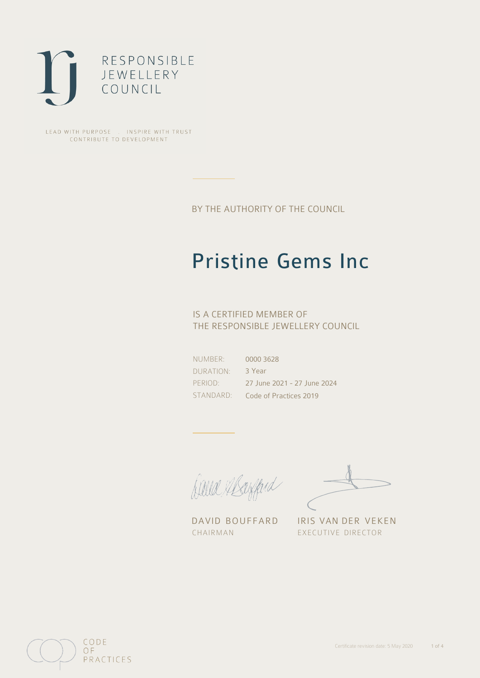

LEAD WITH PURPOSE . INSPIRE WITH TRUST CONTRIBUTE TO DEVELOPMENT

BY THE AUTHORITY OF THE COUNCIL

# Pristine Gems Inc

## IS A CERTIFIED MEMBER OF THE RESPONSIBLE JEWELLERY COUNCIL

NUMBER: DURATION: PERIOD: STANDARD:

0000 3628 3 Year 27 June 2021 - 27 June 2024 Code of Practices 2019

Caux Margaret

DAVID BOUFFARD IRIS VAN DER VEKEN CHAIRMAN EXECUTIVE DIRECTOR

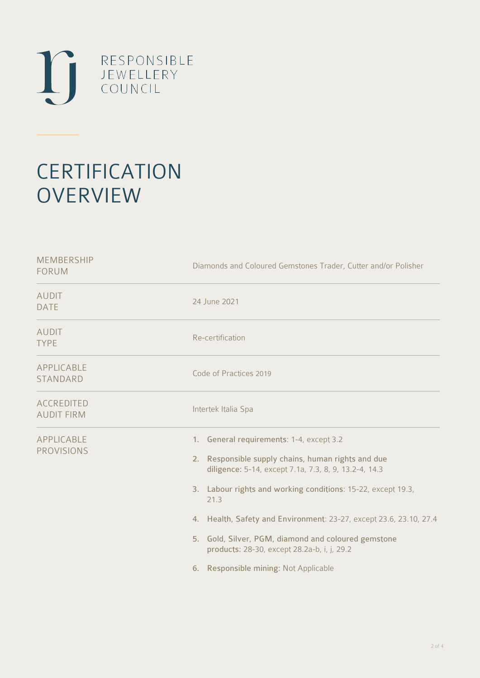

# **CERTIFICATION OVERVIEW**

| Diamonds and Coloured Gemstones Trader, Cutter and/or Polisher                                                                                                                                                                                                                                                                                                                                                                                       |
|------------------------------------------------------------------------------------------------------------------------------------------------------------------------------------------------------------------------------------------------------------------------------------------------------------------------------------------------------------------------------------------------------------------------------------------------------|
| 24 June 2021                                                                                                                                                                                                                                                                                                                                                                                                                                         |
| Re-certification                                                                                                                                                                                                                                                                                                                                                                                                                                     |
| Code of Practices 2019                                                                                                                                                                                                                                                                                                                                                                                                                               |
| Intertek Italia Spa                                                                                                                                                                                                                                                                                                                                                                                                                                  |
| 1. General requirements: 1-4, except 3.2<br>2. Responsible supply chains, human rights and due<br>diligence: 5-14, except 7.1a, 7.3, 8, 9, 13.2-4, 14.3<br>3. Labour rights and working conditions: 15-22, except 19.3,<br>21.3<br>4. Health, Safety and Environment: 23-27, except 23.6, 23.10, 27.4<br>5. Gold, Silver, PGM, diamond and coloured gemstone<br>products: 28-30, except 28.2a-b, i, j, 29.2<br>6. Responsible mining: Not Applicable |
|                                                                                                                                                                                                                                                                                                                                                                                                                                                      |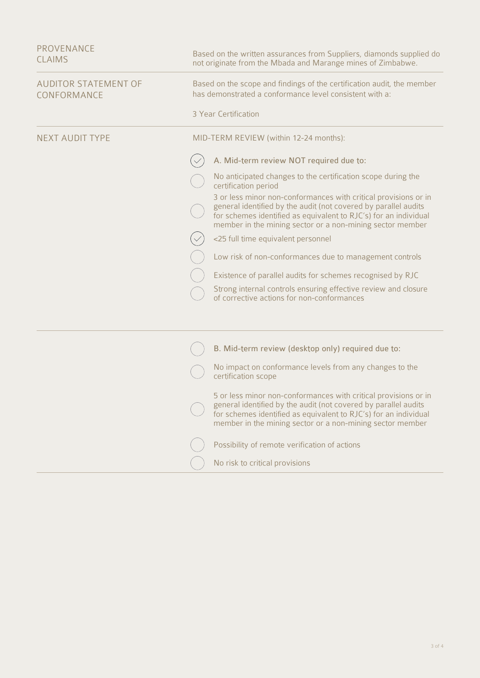| PROVENANCE<br><b>CLAIMS</b>                | Based on the written assurances from Suppliers, diamonds supplied do<br>not originate from the Mbada and Marange mines of Zimbabwe.                                                                                                                                 |
|--------------------------------------------|---------------------------------------------------------------------------------------------------------------------------------------------------------------------------------------------------------------------------------------------------------------------|
| <b>AUDITOR STATEMENT OF</b><br>CONFORMANCE | Based on the scope and findings of the certification audit, the member<br>has demonstrated a conformance level consistent with a:                                                                                                                                   |
|                                            | 3 Year Certification                                                                                                                                                                                                                                                |
| <b>NEXT AUDIT TYPE</b>                     | MID-TERM REVIEW (within 12-24 months):                                                                                                                                                                                                                              |
|                                            | A. Mid-term review NOT required due to:                                                                                                                                                                                                                             |
|                                            | No anticipated changes to the certification scope during the<br>certification period                                                                                                                                                                                |
|                                            | 3 or less minor non-conformances with critical provisions or in<br>general identified by the audit (not covered by parallel audits<br>for schemes identified as equivalent to RJC's) for an individual<br>member in the mining sector or a non-mining sector member |
|                                            | <25 full time equivalent personnel                                                                                                                                                                                                                                  |
|                                            | Low risk of non-conformances due to management controls                                                                                                                                                                                                             |
|                                            | Existence of parallel audits for schemes recognised by RJC                                                                                                                                                                                                          |
|                                            | Strong internal controls ensuring effective review and closure<br>of corrective actions for non-conformances                                                                                                                                                        |
|                                            |                                                                                                                                                                                                                                                                     |
|                                            | B. Mid-term review (desktop only) required due to:                                                                                                                                                                                                                  |
|                                            | No impact on conformance levels from any changes to the<br>certification scope                                                                                                                                                                                      |
|                                            | 5 or less minor non-conformances with critical provisions or in<br>general identified by the audit (not covered by parallel audits<br>for schemes identified as equivalent to RJC's) for an individual<br>member in the mining sector or a non-mining sector member |
|                                            | Possibility of remote verification of actions                                                                                                                                                                                                                       |
|                                            | No risk to critical provisions                                                                                                                                                                                                                                      |